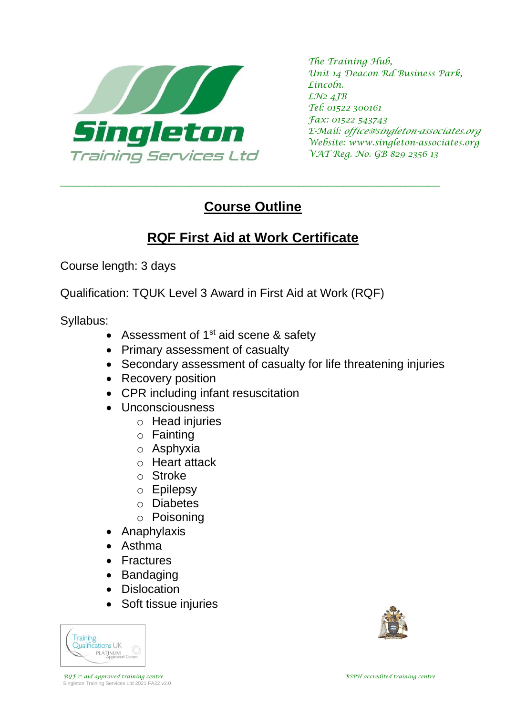

*The Training Hub, Unit 14 Deacon Rd Business Park, Lincoln. LN2 4JB Tel: 01522 300161 Fax: 01522 543743 E-Mail: office@singleton-associates.org Website: www.singleton-associates.org VAT Reg. No. GB 829 2356 13*

## **Course Outline**

\_\_\_\_\_\_\_\_\_\_\_\_\_\_\_\_\_\_\_\_\_\_\_\_\_\_\_\_\_\_\_\_\_\_\_\_\_\_\_\_\_\_\_\_\_\_\_\_\_\_\_\_\_\_\_\_\_\_\_\_\_\_\_\_\_\_\_

## **RQF First Aid at Work Certificate**

Course length: 3 days

Qualification: TQUK Level 3 Award in First Aid at Work (RQF)

Syllabus:

- Assessment of  $1<sup>st</sup>$  aid scene & safety
- Primary assessment of casualty
- Secondary assessment of casualty for life threatening injuries
- Recovery position
- CPR including infant resuscitation
- Unconsciousness
	- o Head injuries
	- o Fainting
	- o Asphyxia
	- o Heart attack
	- o Stroke
	- o Epilepsy
	- o Diabetes
	- o Poisoning
- Anaphylaxis
- Asthma
- Fractures
- Bandaging
- Dislocation
- Soft tissue injuries